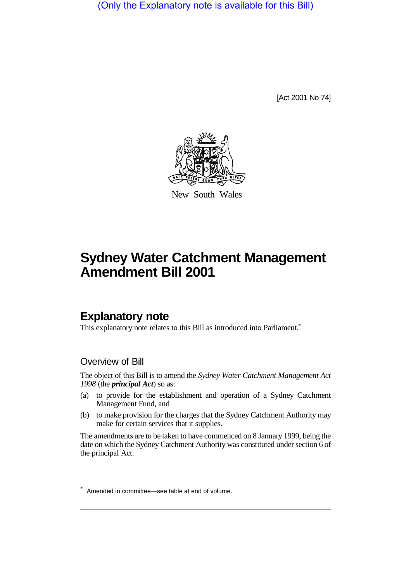(Only the Explanatory note is available for this Bill)

[Act 2001 No 74]



New South Wales

# **Sydney Water Catchment Management Amendment Bill 2001**

## **Explanatory note**

This explanatory note relates to this Bill as introduced into Parliament.<sup>\*</sup>

#### Overview of Bill

The object of this Bill is to amend the *Sydney Water Catchment Management Act 1998* (the *principal Act*) so as:

- (a) to provide for the establishment and operation of a Sydney Catchment Management Fund, and
- (b) to make provision for the charges that the Sydney Catchment Authority may make for certain services that it supplies.

The amendments are to be taken to have commenced on 8 January 1999, being the date on which the Sydney Catchment Authority was constituted under section 6 of the principal Act.

<sup>\*</sup> Amended in committee—see table at end of volume.